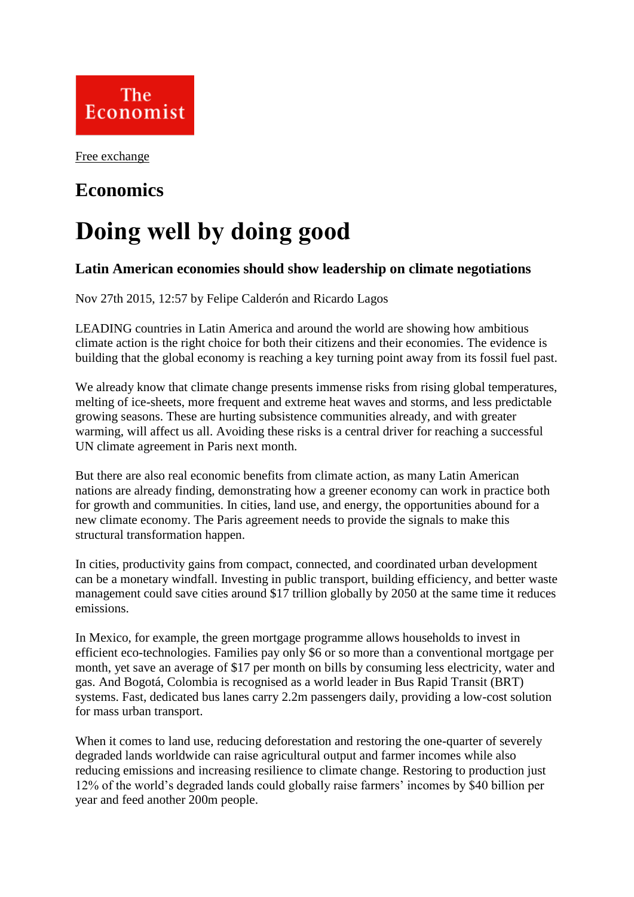

[Free exchange](http://www.economist.com/blogs/freeexchange)

## **Economics**

## **Doing well by doing good**

## **Latin American economies should show leadership on climate negotiations**

Nov 27th 2015, 12:57 by Felipe Calderón and Ricardo Lagos

LEADING countries in Latin America and around the world are showing how ambitious climate action is the right choice for both their citizens and their economies. The evidence is building that the global economy is reaching a key turning point away from its fossil fuel past.

We already know that climate change presents immense risks from rising global temperatures, melting of ice-sheets, more frequent and extreme heat waves and storms, and less predictable growing seasons. These are hurting subsistence communities already, and with greater warming, will affect us all. Avoiding these risks is a central driver for reaching a successful UN climate agreement in Paris next month.

But there are also real economic benefits from climate action, as many Latin American nations are already finding, demonstrating how a greener economy can work in practice both for growth and communities. In cities, land use, and energy, the opportunities abound for a new climate economy. The Paris agreement needs to provide the signals to make this structural transformation happen.

In cities, productivity gains from compact, connected, and coordinated urban development can be a monetary windfall. Investing in public transport, building efficiency, and better waste management could save cities around \$17 trillion globally by 2050 at the same time it reduces emissions.

In Mexico, for example, the green mortgage programme allows households to invest in efficient eco-technologies. Families pay only \$6 or so more than a conventional mortgage per month, yet save an average of \$17 per month on bills by consuming less electricity, water and gas. And Bogotá, Colombia is recognised as a world leader in Bus Rapid Transit (BRT) systems. Fast, dedicated bus lanes carry 2.2m passengers daily, providing a low-cost solution for mass urban transport.

When it comes to land use, reducing deforestation and restoring the one-quarter of severely degraded lands worldwide can raise agricultural output and farmer incomes while also reducing emissions and increasing resilience to climate change. Restoring to production just 12% of the world's degraded lands could globally raise farmers' incomes by \$40 billion per year and feed another 200m people.